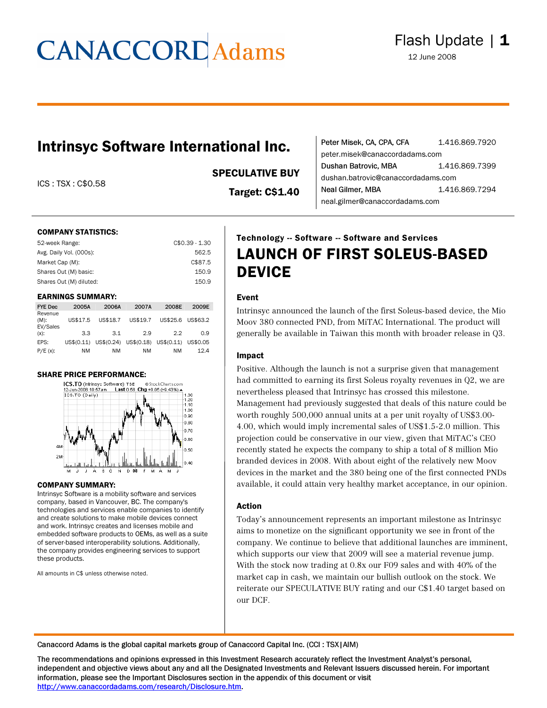# **CANACCORD** Adams

### Intrinsyc Software International Inc.

ICS : TSX : C\$0.58

SPECULATIVE BUY

Target: C\$1.40

| Peter Misek, CA, CPA, CFA          | 1.416.869.7920 |  |
|------------------------------------|----------------|--|
| peter.misek@canaccordadams.com     |                |  |
| Dushan Batrovic, MBA               | 1.416.869.7399 |  |
| dushan.batrovic@canaccordadams.com |                |  |
| Neal Gilmer, MBA                   | 1.416.869.7294 |  |
| neal.gilmer@canaccordadams.com     |                |  |

#### COMPANY STATISTICS:

| $C$0.39 - 1.30$ |
|-----------------|
| 562.5           |
| C\$87.5         |
| 150.9           |
| 150.9           |
|                 |

#### EARNINGS SUMMARY:

| <b>FYE Dec</b>                 | 2005A      | 2006A    | 2007A                            | 2008E    | 2009E    |
|--------------------------------|------------|----------|----------------------------------|----------|----------|
| Revenue<br>$(M)$ :<br>EV/Sales | US\$17.5   | US\$18.7 | US\$19.7                         | US\$25.6 | US\$63.2 |
| $(x)$ :                        | 3.3        | 3.1      | 29                               | 2.2      | 0.9      |
| EPS:                           | US\$(0.11) |          | US\$(0.24) US\$(0.18) US\$(0.11) |          | US\$0.05 |
| $P/E(x)$ :                     | <b>NM</b>  | NΜ       | NM                               | NM       | 12.4     |

#### SHARE PRICE PERFORMANCE:



#### COMPANY SUMMARY:

Intrinsyc Software is a mobility software and services company, based in Vancouver, BC. The company's technologies and services enable companies to identify and create solutions to make mobile devices connect and work. Intrinsyc creates and licenses mobile and embedded software products to OEMs, as well as a suite of server-based interoperability solutions. Additionally, the company provides engineering services to support these products.

All amounts in C\$ unless otherwise noted.

### Technology -- Software -- Software and Services LAUNCH OF FIRST SOLEUS-BASED DEVICE

#### Event

Intrinsyc announced the launch of the first Soleus-based device, the Mio Moov 380 connected PND, from MiTAC International. The product will generally be available in Taiwan this month with broader release in Q3.

#### Impact

Positive. Although the launch is not a surprise given that management had committed to earning its first Soleus royalty revenues in Q2, we are nevertheless pleased that Intrinsyc has crossed this milestone. Management had previously suggested that deals of this nature could be worth roughly 500,000 annual units at a per unit royalty of US\$3.00- 4.00, which would imply incremental sales of US\$1.5-2.0 million. This projection could be conservative in our view, given that MiTAC's CEO recently stated he expects the company to ship a total of 8 million Mio branded devices in 2008. With about eight of the relatively new Moov devices in the market and the 380 being one of the first connected PNDs available, it could attain very healthy market acceptance, in our opinion.

#### Action

Today's announcement represents an important milestone as Intrinsyc aims to monetize on the significant opportunity we see in front of the company. We continue to believe that additional launches are imminent, which supports our view that 2009 will see a material revenue jump. With the stock now trading at 0.8x our F09 sales and with 40% of the market cap in cash, we maintain our bullish outlook on the stock. We reiterate our SPECULATIVE BUY rating and our C\$1.40 target based on our DCF.

Canaccord Adams is the global capital markets group of Canaccord Capital Inc. (CCI : TSX|AIM)

The recommendations and opinions expressed in this Investment Research accurately reflect the Investment Analyst's personal, independent and objective views about any and all the Designated Investments and Relevant Issuers discussed herein. For important information, please see the Important Disclosures section in the appendix of this document or visit <http://www.canaccordadams.com/research/Disclosure.htm>.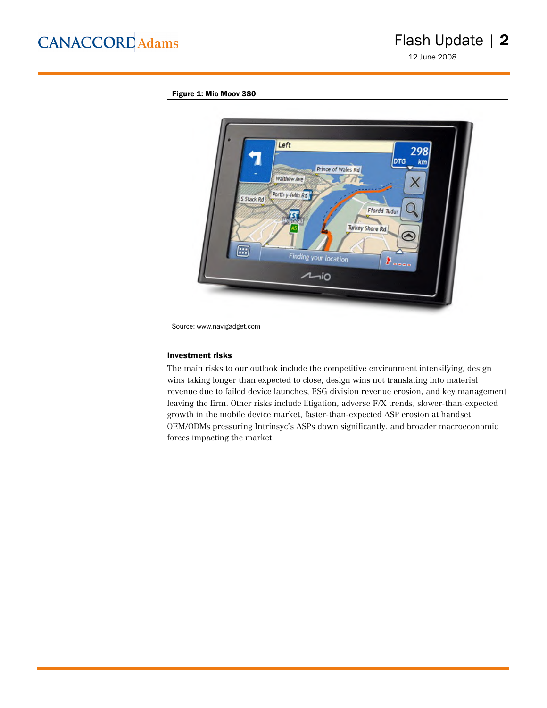12 June 2008

### Figure 1: Mio Moov 380



Source: www.navigadget.com

#### Investment risks

The main risks to our outlook include the competitive environment intensifying, design wins taking longer than expected to close, design wins not translating into material revenue due to failed device launches, ESG division revenue erosion, and key management leaving the firm. Other risks include litigation, adverse F/X trends, slower-than-expected growth in the mobile device market, faster-than-expected ASP erosion at handset OEM/ODMs pressuring Intrinsyc's ASPs down significantly, and broader macroeconomic forces impacting the market.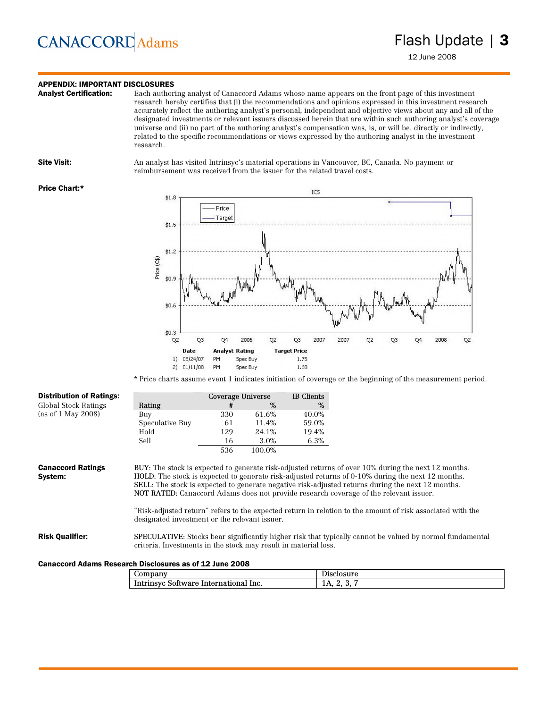## **CANACCORD** Adams

### **APPENDIX: IMPORTANT DISCLOSURES**<br>**Analyst Certification:** Each author

Each authoring analyst of Canaccord Adams whose name appears on the front page of this investment research hereby certifies that (i) the recommendations and opinions expressed in this investment research accurately reflect the authoring analyst's personal, independent and objective views about any and all of the designated investments or relevant issuers discussed herein that are within such authoring analyst's coverage universe and (ii) no part of the authoring analyst's compensation was, is, or will be, directly or indirectly, related to the specific recommendations or views expressed by the authoring analyst in the investment research.

Site Visit: An analyst has visited Intrinsyc's material operations in Vancouver, BC, Canada. No payment or reimbursement was received from the issuer for the related travel costs.

#### Price Chart:\*



\* Price charts assume event 1 indicates initiation of coverage or the beginning of the measurement period.

| <b>Distribution of Ratings:</b>                         |                                                                 | Coverage Universe |         | IB Clients |                                                                                                                                                                                                                                                                                                                                                                                                               |
|---------------------------------------------------------|-----------------------------------------------------------------|-------------------|---------|------------|---------------------------------------------------------------------------------------------------------------------------------------------------------------------------------------------------------------------------------------------------------------------------------------------------------------------------------------------------------------------------------------------------------------|
| <b>Global Stock Ratings</b>                             | Rating                                                          | #                 | $\%$    | %          |                                                                                                                                                                                                                                                                                                                                                                                                               |
| (as of 1 May 2008)                                      | Buy                                                             | 330               | 61.6%   | 40.0%      |                                                                                                                                                                                                                                                                                                                                                                                                               |
|                                                         | Speculative Buy                                                 | 61                | 11.4%   | 59.0%      |                                                                                                                                                                                                                                                                                                                                                                                                               |
|                                                         | Hold                                                            | 129               | 24.1%   | 19.4%      |                                                                                                                                                                                                                                                                                                                                                                                                               |
|                                                         | Sell                                                            | 16                | $3.0\%$ | 6.3%       |                                                                                                                                                                                                                                                                                                                                                                                                               |
|                                                         |                                                                 | 536               | 100.0%  |            |                                                                                                                                                                                                                                                                                                                                                                                                               |
| Svstem:                                                 | designated investment or the relevant issuer.                   |                   |         |            | HOLD: The stock is expected to generate risk-adjusted returns of 0-10% during the next 12 months.<br>SELL: The stock is expected to generate negative risk-adjusted returns during the next 12 months.<br>NOT RATED: Canaccord Adams does not provide research coverage of the relevant issuer.<br>"Risk-adjusted return" refers to the expected return in relation to the amount of risk associated with the |
| <b>Risk Qualifier:</b>                                  | criteria. Investments in the stock may result in material loss. |                   |         |            | <b>SPECULATIVE:</b> Stocks bear significantly higher risk that typically cannot be valued by normal fundamental                                                                                                                                                                                                                                                                                               |
| Canaccord Adams Research Disclosures as of 12 June 2008 |                                                                 |                   |         |            |                                                                                                                                                                                                                                                                                                                                                                                                               |

| $\omega$ ompany                                 | Disclosure                         |
|-------------------------------------------------|------------------------------------|
| Inc.<br>Intrinsyc'<br>International<br>Software | Д<br><b>LA 1.</b><br>. .<br>້<br>- |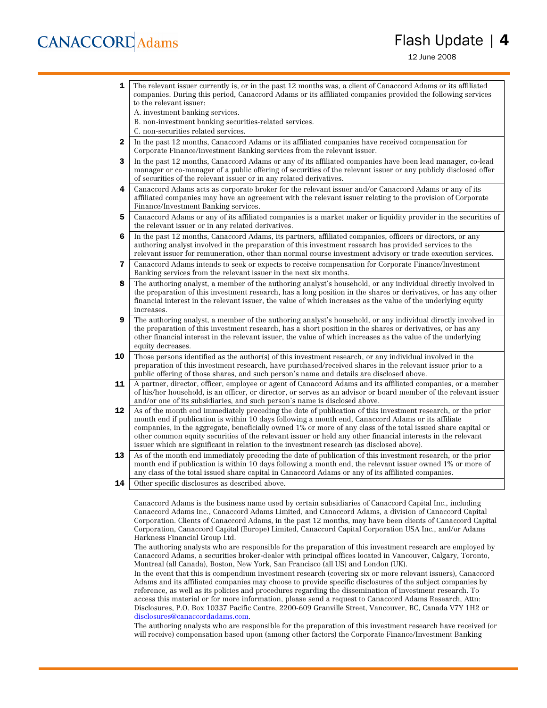## **CANACCORD** Adams

### Flash Update | 4

12 June 2008

**1** The relevant issuer currently is, or in the past 12 months was, a client of Canaccord Adams or its affiliated companies. During this period, Canaccord Adams or its affiliated companies provided the following services to the relevant issuer: A. investment banking services. B. non-investment banking securities-related services. C. non-securities related services. 2 In the past 12 months, Canaccord Adams or its affiliated companies have received compensation for Corporate Finance/Investment Banking services from the relevant issuer. **3** In the past 12 months, Canaccord Adams or any of its affiliated companies have been lead manager, co-lead manager or co-manager of a public offering of securities of the relevant issuer or any publicly disclosed offer of securities of the relevant issuer or in any related derivatives. 4 Canaccord Adams acts as corporate broker for the relevant issuer and/or Canaccord Adams or any of its affiliated companies may have an agreement with the relevant issuer relating to the provision of Corporate Finance/Investment Banking services. 5 Canaccord Adams or any of its affiliated companies is a market maker or liquidity provider in the securities of the relevant issuer or in any related derivatives. 6 In the past 12 months, Canaccord Adams, its partners, affiliated companies, officers or directors, or any authoring analyst involved in the preparation of this investment research has provided services to the relevant issuer for remuneration, other than normal course investment advisory or trade execution services. 7 Canaccord Adams intends to seek or expects to receive compensation for Corporate Finance/Investment Banking services from the relevant issuer in the next six months. 8 The authoring analyst, a member of the authoring analyst's household, or any individual directly involved in the preparation of this investment research, has a long position in the shares or derivatives, or has any other financial interest in the relevant issuer, the value of which increases as the value of the underlying equity increases. **9** The authoring analyst, a member of the authoring analyst's household, or any individual directly involved in the preparation of this investment research, has a short position in the shares or derivatives, or has any other financial interest in the relevant issuer, the value of which increases as the value of the underlying equity decreases. **10** Those persons identified as the author(s) of this investment research, or any individual involved in the preparation of this investment research, have purchased/received shares in the relevant issuer prior to a public offering of those shares, and such person's name and details are disclosed above. 11 A partner, director, officer, employee or agent of Canaccord Adams and its affiliated companies, or a member of his/her household, is an officer, or director, or serves as an advisor or board member of the relevant issuer and/or one of its subsidiaries, and such person's name is disclosed above. 12 As of the month end immediately preceding the date of publication of this investment research, or the prior month end if publication is within 10 days following a month end, Canaccord Adams or its affiliate companies, in the aggregate, beneficially owned 1% or more of any class of the total issued share capital or other common equity securities of the relevant issuer or held any other financial interests in the relevant issuer which are significant in relation to the investment research (as disclosed above). 13 As of the month end immediately preceding the date of publication of this investment research, or the prior month end if publication is within 10 days following a month end, the relevant issuer owned 1% or more of any class of the total issued share capital in Canaccord Adams or any of its affiliated companies. **14** Other specific disclosures as described above. Canaccord Adams is the business name used by certain subsidiaries of Canaccord Capital Inc., including

Canaccord Adams Inc., Canaccord Adams Limited, and Canaccord Adams, a division of Canaccord Capital Corporation. Clients of Canaccord Adams, in the past 12 months, may have been clients of Canaccord Capital Corporation, Canaccord Capital (Europe) Limited, Canaccord Capital Corporation USA Inc., and/or Adams Harkness Financial Group Ltd.

The authoring analysts who are responsible for the preparation of this investment research are employed by Canaccord Adams, a securities broker-dealer with principal offices located in Vancouver, Calgary, Toronto, Montreal (all Canada), Boston, New York, San Francisco (all US) and London (UK).

In the event that this is compendium investment research (covering six or more relevant issuers), Canaccord Adams and its affiliated companies may choose to provide specific disclosures of the subject companies by reference, as well as its policies and procedures regarding the dissemination of investment research. To access this material or for more information, please send a request to Canaccord Adams Research, Attn: Disclosures, P.O. Box 10337 Pacific Centre, 2200-609 Granville Street, Vancouver, BC, Canada V7Y 1H2 or [disclosures@canaccordadams.com.](mailto:disclosures@canaccordadams.com)

The authoring analysts who are responsible for the preparation of this investment research have received (or will receive) compensation based upon (among other factors) the Corporate Finance/Investment Banking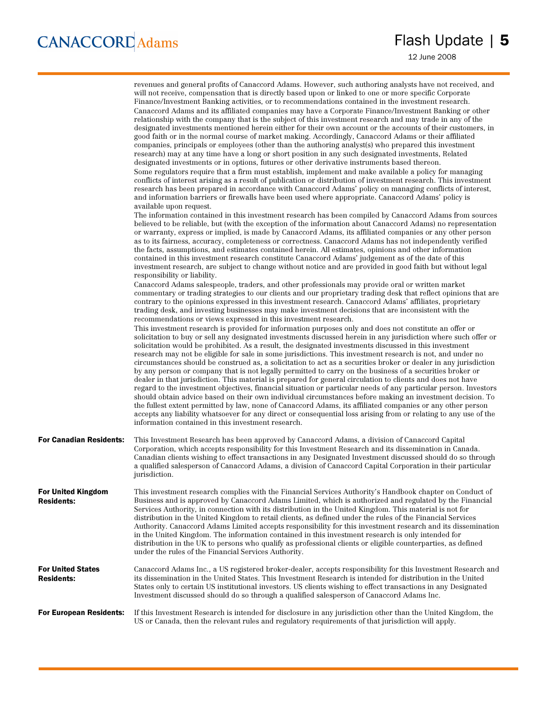|                                                | revenues and general profits of Canaccord Adams. However, such authoring analysts have not received, and<br>will not receive, compensation that is directly based upon or linked to one or more specific Corporate<br>Finance/Investment Banking activities, or to recommendations contained in the investment research.<br>Canaccord Adams and its affiliated companies may have a Corporate Finance/Investment Banking or other<br>relationship with the company that is the subject of this investment research and may trade in any of the<br>designated investments mentioned herein either for their own account or the accounts of their customers, in<br>good faith or in the normal course of market making. Accordingly, Canaccord Adams or their affiliated<br>companies, principals or employees (other than the authoring analyst(s) who prepared this investment<br>research) may at any time have a long or short position in any such designated investments, Related<br>designated investments or in options, futures or other derivative instruments based thereon.<br>Some regulators require that a firm must establish, implement and make available a policy for managing<br>conflicts of interest arising as a result of publication or distribution of investment research. This investment<br>research has been prepared in accordance with Canaccord Adams' policy on managing conflicts of interest,<br>and information barriers or firewalls have been used where appropriate. Canaccord Adams' policy is<br>available upon request.<br>The information contained in this investment research has been compiled by Canaccord Adams from sources<br>believed to be reliable, but (with the exception of the information about Canaccord Adams) no representation<br>or warranty, express or implied, is made by Canaccord Adams, its affiliated companies or any other person<br>as to its fairness, accuracy, completeness or correctness. Canaccord Adams has not independently verified<br>the facts, assumptions, and estimates contained herein. All estimates, opinions and other information<br>contained in this investment research constitute Canaccord Adams' judgement as of the date of this<br>investment research, are subject to change without notice and are provided in good faith but without legal<br>responsibility or liability.<br>Canaccord Adams salespeople, traders, and other professionals may provide oral or written market<br>commentary or trading strategies to our clients and our proprietary trading desk that reflect opinions that are<br>contrary to the opinions expressed in this investment research. Canaccord Adams' affiliates, proprietary<br>trading desk, and investing businesses may make investment decisions that are inconsistent with the<br>recommendations or views expressed in this investment research.<br>This investment research is provided for information purposes only and does not constitute an offer or |
|------------------------------------------------|-----------------------------------------------------------------------------------------------------------------------------------------------------------------------------------------------------------------------------------------------------------------------------------------------------------------------------------------------------------------------------------------------------------------------------------------------------------------------------------------------------------------------------------------------------------------------------------------------------------------------------------------------------------------------------------------------------------------------------------------------------------------------------------------------------------------------------------------------------------------------------------------------------------------------------------------------------------------------------------------------------------------------------------------------------------------------------------------------------------------------------------------------------------------------------------------------------------------------------------------------------------------------------------------------------------------------------------------------------------------------------------------------------------------------------------------------------------------------------------------------------------------------------------------------------------------------------------------------------------------------------------------------------------------------------------------------------------------------------------------------------------------------------------------------------------------------------------------------------------------------------------------------------------------------------------------------------------------------------------------------------------------------------------------------------------------------------------------------------------------------------------------------------------------------------------------------------------------------------------------------------------------------------------------------------------------------------------------------------------------------------------------------------------------------------------------------------------------------------------------------------------------------------------------------------------------------------------------------------------------------------------------------------------------------------------------------------------------------------------------------------------------------------------------------------------------------------------------------------------------------------------------------------------------------------------------------------------------------------------------------------------|
|                                                | solicitation to buy or sell any designated investments discussed herein in any jurisdiction where such offer or<br>solicitation would be prohibited. As a result, the designated investments discussed in this investment<br>research may not be eligible for sale in some jurisdictions. This investment research is not, and under no<br>circumstances should be construed as, a solicitation to act as a securities broker or dealer in any jurisdiction<br>by any person or company that is not legally permitted to carry on the business of a securities broker or<br>dealer in that jurisdiction. This material is prepared for general circulation to clients and does not have<br>regard to the investment objectives, financial situation or particular needs of any particular person. Investors<br>should obtain advice based on their own individual circumstances before making an investment decision. To<br>the fullest extent permitted by law, none of Canaccord Adams, its affiliated companies or any other person<br>accepts any liability whatsoever for any direct or consequential loss arising from or relating to any use of the<br>information contained in this investment research.                                                                                                                                                                                                                                                                                                                                                                                                                                                                                                                                                                                                                                                                                                                                                                                                                                                                                                                                                                                                                                                                                                                                                                                                                                                                                                                                                                                                                                                                                                                                                                                                                                                                                                                                                                                          |
| <b>For Canadian Residents:</b>                 | This Investment Research has been approved by Canaccord Adams, a division of Canaccord Capital<br>Corporation, which accepts responsibility for this Investment Research and its dissemination in Canada.<br>Canadian clients wishing to effect transactions in any Designated Investment discussed should do so through<br>a qualified salesperson of Canaccord Adams, a division of Canaccord Capital Corporation in their particular<br>jurisdiction.                                                                                                                                                                                                                                                                                                                                                                                                                                                                                                                                                                                                                                                                                                                                                                                                                                                                                                                                                                                                                                                                                                                                                                                                                                                                                                                                                                                                                                                                                                                                                                                                                                                                                                                                                                                                                                                                                                                                                                                                                                                                                                                                                                                                                                                                                                                                                                                                                                                                                                                                                  |
| <b>For United Kingdom</b><br><b>Residents:</b> | This investment research complies with the Financial Services Authority's Handbook chapter on Conduct of<br>Business and is approved by Canaccord Adams Limited, which is authorized and regulated by the Financial<br>Services Authority, in connection with its distribution in the United Kingdom. This material is not for<br>distribution in the United Kingdom to retail clients, as defined under the rules of the Financial Services<br>Authority. Canaccord Adams Limited accepts responsibility for this investment research and its dissemination<br>in the United Kingdom. The information contained in this investment research is only intended for<br>distribution in the UK to persons who qualify as professional clients or eligible counterparties, as defined<br>under the rules of the Financial Services Authority.                                                                                                                                                                                                                                                                                                                                                                                                                                                                                                                                                                                                                                                                                                                                                                                                                                                                                                                                                                                                                                                                                                                                                                                                                                                                                                                                                                                                                                                                                                                                                                                                                                                                                                                                                                                                                                                                                                                                                                                                                                                                                                                                                                 |
| <b>For United States</b><br><b>Residents:</b>  | Canaccord Adams Inc., a US registered broker-dealer, accepts responsibility for this Investment Research and<br>its dissemination in the United States. This Investment Research is intended for distribution in the United<br>States only to certain US institutional investors. US clients wishing to effect transactions in any Designated<br>Investment discussed should do so through a qualified salesperson of Canaccord Adams Inc.                                                                                                                                                                                                                                                                                                                                                                                                                                                                                                                                                                                                                                                                                                                                                                                                                                                                                                                                                                                                                                                                                                                                                                                                                                                                                                                                                                                                                                                                                                                                                                                                                                                                                                                                                                                                                                                                                                                                                                                                                                                                                                                                                                                                                                                                                                                                                                                                                                                                                                                                                                |
| <b>For European Residents:</b>                 | If this Investment Research is intended for disclosure in any jurisdiction other than the United Kingdom, the<br>US or Canada, then the relevant rules and regulatory requirements of that jurisdiction will apply.                                                                                                                                                                                                                                                                                                                                                                                                                                                                                                                                                                                                                                                                                                                                                                                                                                                                                                                                                                                                                                                                                                                                                                                                                                                                                                                                                                                                                                                                                                                                                                                                                                                                                                                                                                                                                                                                                                                                                                                                                                                                                                                                                                                                                                                                                                                                                                                                                                                                                                                                                                                                                                                                                                                                                                                       |